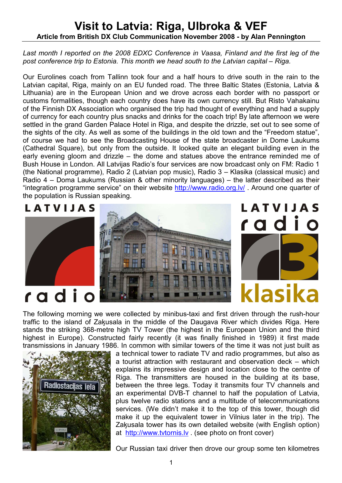## Visit to Latvia: Riga, Ulbroka & VEF Article from British DX Club Communication November 2008 - by Alan Pennington

## Last month I reported on the 2008 EDXC Conference in Vaasa, Finland and the first leg of the post conference trip to Estonia. This month we head south to the Latvian capital – Riga.

Our Eurolines coach from Tallinn took four and a half hours to drive south in the rain to the Latvian capital, Riga, mainly on an EU funded road. The three Baltic States (Estonia, Latvia & Lithuania) are in the European Union and we drove across each border with no passport or customs formalities, though each country does have its own currency still. But Risto Vahakainu of the Finnish DX Association who organised the trip had thought of everything and had a supply of currency for each country plus snacks and drinks for the coach trip! By late afternoon we were settled in the grand Garden Palace Hotel in Riga, and despite the drizzle, set out to see some of the sights of the city. As well as some of the buildings in the old town and the "Freedom statue", of course we had to see the Broadcasting House of the state broadcaster in Dome Laukums (Cathedral Square), but only from the outside. It looked quite an elegant building even in the early evening gloom and drizzle – the dome and statues above the entrance reminded me of Bush House in London. All Latvijas Radio's four services are now broadcast only on FM: Radio 1 (the National programme), Radio 2 (Latvian pop music), Radio 3 – Klasika (classical music) and Radio 4 – Doma Laukums (Russian & other minority languages) – the latter described as their "integration programme service" on their website http://www.radio.org.lv/ . Around one quarter of the population is Russian speaking.

## LATVIJAS







The following morning we were collected by minibus-taxi and first driven through the rush-hour traffic to the island of Zaķusala in the middle of the Daugava River which divides Riga. Here stands the striking 368-metre high TV Tower (the highest in the European Union and the third highest in Europe). Constructed fairly recently (it was finally finished in 1989) it first made transmissions in January 1986. In common with similar towers of the time it was not just built as



a technical tower to radiate TV and radio programmes, but also as a tourist attraction with restaurant and observation deck – which explains its impressive design and location close to the centre of Riga. The transmitters are housed in the building at its base, between the three legs. Today it transmits four TV channels and an experimental DVB-T channel to half the population of Latvia, plus twelve radio stations and a multitude of telecommunications services. (We didn't make it to the top of this tower, though did make it up the equivalent tower in Vilnius later in the trip). The Zaķusala tower has its own detailed website (with English option) at http://www.tvtornis.lv . (see photo on front cover)

Our Russian taxi driver then drove our group some ten kilometres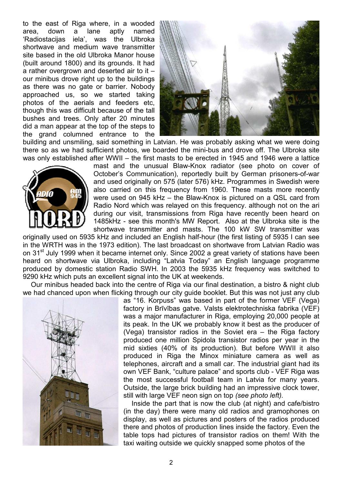to the east of Riga where, in a wooded area, down a lane aptly named 'Radiostacijas iela', was the Ulbroka shortwave and medium wave transmitter site based in the old Ulbroka Manor house (built around 1800) and its grounds. It had a rather overgrown and deserted air to it – our minibus drove right up to the buildings as there was no gate or barrier. Nobody approached us, so we started taking photos of the aerials and feeders etc, though this was difficult because of the tall bushes and trees. Only after 20 minutes did a man appear at the top of the steps to the grand columned entrance to the



building and unsmiling, said something in Latvian. He was probably asking what we were doing there so as we had sufficient photos, we boarded the mini-bus and drove off. The Ulbroka site was only established after WWII – the first masts to be erected in 1945 and 1946 were a lattice



mast and the unusual Blaw-Knox radiator (see photo on cover of October's Communication), reportedly built by German prisoners-of-war and used originally on 575 (later 576) kHz. Programmes in Swedish were also carried on this frequency from 1960. These masts more recently were used on 945 kHz – the Blaw-Knox is pictured on a QSL card from Radio Nord which was relayed on this frequency. although not on the ari during our visit, transmissions from Riga have recently been heard on 1485kHz - see this month's MW Report. Also at the Ulbroka site is the shortwave transmitter and masts. The 100 kW SW transmitter was

originally used on 5935 kHz and included an English half-hour (the first listing of 5935 I can see in the WRTH was in the 1973 edition). The last broadcast on shortwave from Latvian Radio was on 31<sup>st</sup> July 1999 when it became internet only. Since 2002 a great variety of stations have been heard on shortwave via Ulbroka, including "Latvia Today" an English language programme produced by domestic station Radio SWH. In 2003 the 5935 kHz frequency was switched to 9290 kHz which puts an excellent signal into the UK at weekends.

 Our minibus headed back into the centre of Riga via our final destination, a bistro & night club we had chanced upon when flicking through our city guide booklet. But this was not just any club



as "16. Korpuss" was based in part of the former VEF (Vega) factory in Brīvības gatve. Valsts elektrotechniska fabrika (VEF) was a major manufacturer in Riga, employing 20,000 people at its peak. In the UK we probably know it best as the producer of (Vega) transistor radios in the Soviet era – the Riga factory produced one million Spidola transistor radios per year in the mid sixties (40% of its production). But before WWII it also produced in Riga the Minox miniature camera as well as telephones, aircraft and a small car. The industrial giant had its own VEF Bank, "culture palace" and sports club - VEF Riga was the most successful football team in Latvia for many years. Outside, the large brick building had an impressive clock tower, still with large VEF neon sign on top (see photo left).

Inside the part that is now the club (at night) and cafe/bistro (in the day) there were many old radios and gramophones on display, as well as pictures and posters of the radios produced there and photos of production lines inside the factory. Even the table tops had pictures of transistor radios on them! With the taxi waiting outside we quickly snapped some photos of the